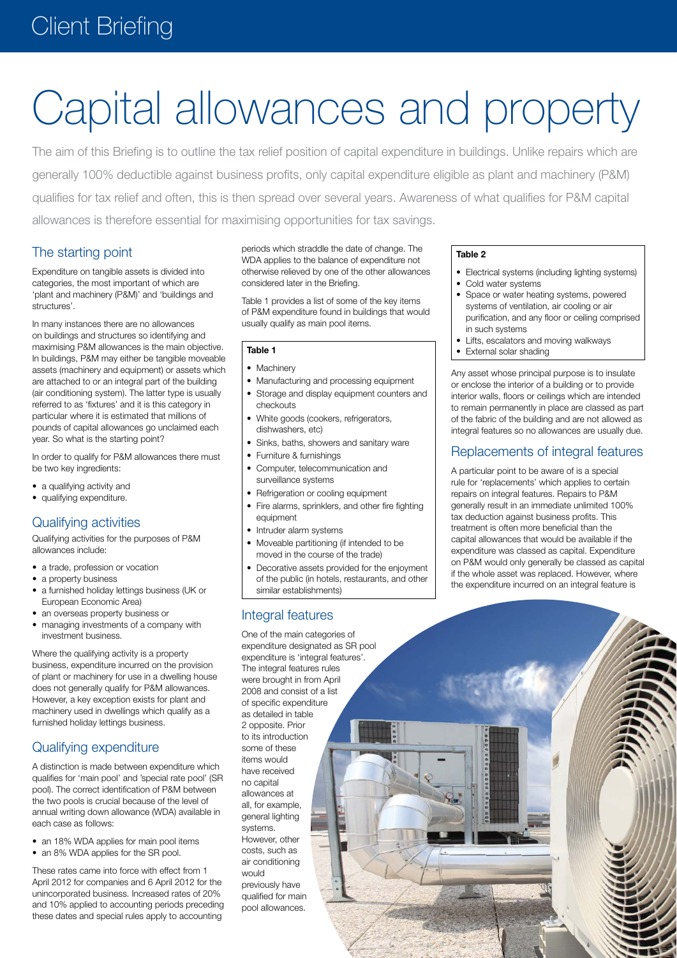# **Client Briefing**

# Capital allowances and property

The aim of this Briefing is to outline the tax relief position of capital expenditure in buildings. Unlike repairs which are generally 100% deductible against business profits, only capital expenditure eligible as plant and machinery (P&M) qualifies for tax relief and often, this is then spread over several years. Awareness of what qualifies for P&M capital allowances is therefore essential for maximising opportunities for tax savings.

# The starting point

Expenditure on tangible assets is divided into categories, the most important of which are 'plant and machinery (P&M)' and 'buildings and structures'.

In many instances there are no allowances on buildings and structures so identifying and maximising P&M allowances is the main objective. In buildings, P&M may either be tangible moveable assets (machinery and equipment) or assets which are attached to or an integral part of the building (air conditioning system). The latter type is usually referred to as 'fixtures' and it is this category in particular where it is estimated that millions of pounds of capital allowances go unclaimed each year. So what is the starting point?

In order to qualify for P&M allowances there must be two key ingredients:

- a qualifying activity and
- qualifying expenditure.

# Qualifying activities

Qualifying activities for the purposes of P&M allowances include:

- a trade, profession or vocation
- a property business
- a furnished holiday lettings business (UK or European Economic Area)
- an overseas property business or
- managing investments of a company with investment business.

Where the qualifying activity is a property business, expenditure incurred on the provision of plant or machinery for use in a dwelling house does not generally qualify for P&M allowances. However, a key exception exists for plant and machinery used in dwellings which qualify as a furnished holiday lettings business.

# Qualifying expenditure

A distinction is made between expenditure which qualifies for 'main pool' and 'special rate pool' (SR pool). The correct identification of P&M between the two pools is crucial because of the level of annual writing down allowance (WDA) available in each case as follows:

- an 18% WDA applies for main pool items
- an 8% WDA applies for the SR pool.

These rates came into force with effect from 1 April 2012 for companies and 6 April 2012 for the unincorporated business. Increased rates of 20% and 10% applied to accounting periods preceding these dates and special rules apply to accounting

periods which straddle the date of change. The WDA applies to the balance of expenditure not otherwise relieved by one of the other allowances considered later in the Briefing.

Table 1 provides a list of some of the key items of P&M expenditure found in buildings that would usually qualify as main pool items.

#### **Table 1**

- Machinery
- Manufacturing and processing equipment
- Storage and display equipment counters and checkouts
- White goods (cookers, refrigerators, dishwashers, etc)
- Sinks, baths, showers and sanitary ware
- **Furniture & furnishings**
- Computer, telecommunication and surveillance systems
- Refrigeration or cooling equipment
- Fire alarms, sprinklers, and other fire fighting equipment
- Intruder alarm systems
- Moveable partitioning (if intended to be moved in the course of the trade)
- Decorative assets provided for the enjoyment of the public (in hotels, restaurants, and other similar establishments)

# Integral features

One of the main categories of expenditure designated as SR pool expenditure is 'integral features'. The integral features rules were brought in from April 2008 and consist of a list of specific expenditure as detailed in table 2 opposite. Prior to its introduction some of these items would have received no capital allowances at all, for example, general lighting systems. However, other costs, such as air conditioning would previously have

qualified for main pool allowances.

#### **Table 2**

- Electrical systems (including lighting systems)
- Cold water systems
- Space or water heating systems, powered systems of ventilation, air cooling or air purification, and any floor or ceiling comprised in such systems
- • Lifts, escalators and moving walkways
- External solar shading

Any asset whose principal purpose is to insulate or enclose the interior of a building or to provide interior walls, floors or ceilings which are intended to remain permanently in place are classed as part of the fabric of the building and are not allowed as integral features so no allowances are usually due.

#### Replacements of integral features

A particular point to be aware of is a special rule for 'replacements' which applies to certain repairs on integral features. Repairs to P&M generally result in an immediate unlimited 100% tax deduction against business profits. This treatment is often more beneficial than the capital allowances that would be available if the expenditure was classed as capital. Expenditure on P&M would only generally be classed as capital if the whole asset was replaced. However, where the expenditure incurred on an integral feature is